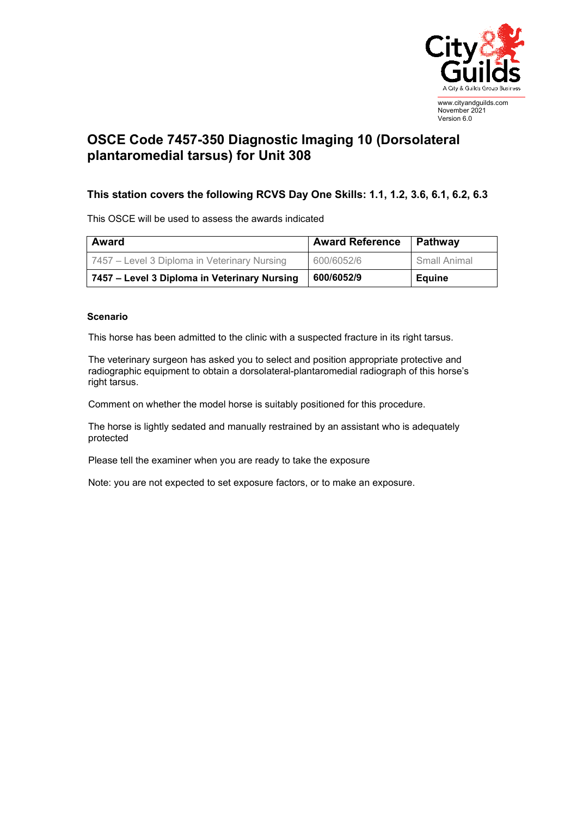

## **OSCE Code 7457-350 Diagnostic Imaging 10 (Dorsolateral plantaromedial tarsus) for Unit 308**

## **This station covers the following RCVS Day One Skills: 1.1, 1.2, 3.6, 6.1, 6.2, 6.3**

This OSCE will be used to assess the awards indicated

| <b>Award</b>                                 | <b>Award Reference</b> | Pathway       |
|----------------------------------------------|------------------------|---------------|
| 7457 – Level 3 Diploma in Veterinary Nursing | 600/6052/6             | Small Animal  |
| 7457 – Level 3 Diploma in Veterinary Nursing | 600/6052/9             | <b>Equine</b> |

## **Scenario**

This horse has been admitted to the clinic with a suspected fracture in its right tarsus.

The veterinary surgeon has asked you to select and position appropriate protective and radiographic equipment to obtain a dorsolateral-plantaromedial radiograph of this horse's right tarsus.

Comment on whether the model horse is suitably positioned for this procedure.

The horse is lightly sedated and manually restrained by an assistant who is adequately protected

Please tell the examiner when you are ready to take the exposure

Note: you are not expected to set exposure factors, or to make an exposure.